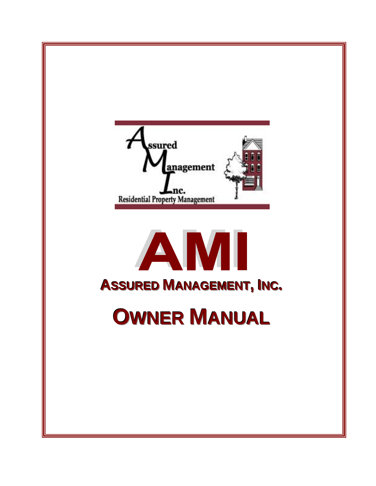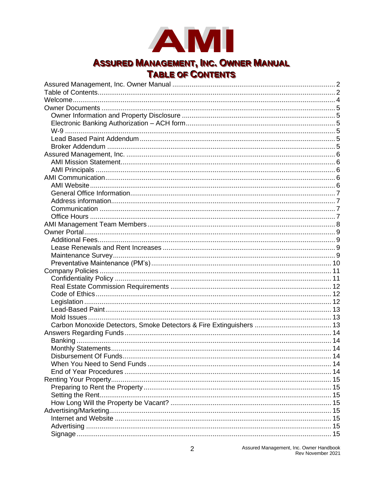

## **ASSURED MANAGEMENT, INC. OWNER MANUAL TABLE OF CONTENTS**

<span id="page-1-1"></span><span id="page-1-0"></span>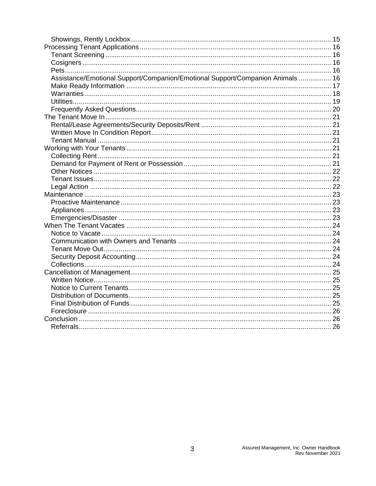| Assistance/Emotional Support/Companion/Emotional Support/Companion Animals  16 |  |
|--------------------------------------------------------------------------------|--|
|                                                                                |  |
|                                                                                |  |
|                                                                                |  |
|                                                                                |  |
|                                                                                |  |
|                                                                                |  |
|                                                                                |  |
|                                                                                |  |
|                                                                                |  |
|                                                                                |  |
|                                                                                |  |
|                                                                                |  |
|                                                                                |  |
|                                                                                |  |
|                                                                                |  |
|                                                                                |  |
|                                                                                |  |
|                                                                                |  |
|                                                                                |  |
|                                                                                |  |
|                                                                                |  |
|                                                                                |  |
|                                                                                |  |
|                                                                                |  |
|                                                                                |  |
|                                                                                |  |
|                                                                                |  |
|                                                                                |  |
|                                                                                |  |
|                                                                                |  |
|                                                                                |  |
|                                                                                |  |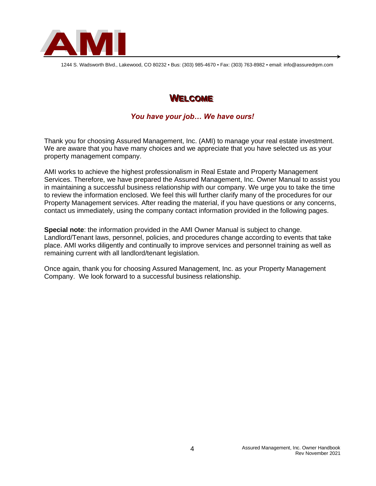

<span id="page-3-0"></span>1244 S. Wadsworth Blvd., Lakewood, CO 80232 ▪ Bus: (303) 985-4670 ▪ Fax: (303) 763-8982 ▪ email: info@assuredrpm.com

## **WELCOME**

## *You have your job… We have ours!*

Thank you for choosing Assured Management, Inc. (AMI) to manage your real estate investment. We are aware that you have many choices and we appreciate that you have selected us as your property management company.

AMI works to achieve the highest professionalism in Real Estate and Property Management Services. Therefore, we have prepared the Assured Management, Inc. Owner Manual to assist you in maintaining a successful business relationship with our company. We urge you to take the time to review the information enclosed. We feel this will further clarify many of the procedures for our Property Management services. After reading the material, if you have questions or any concerns, contact us immediately, using the company contact information provided in the following pages.

**Special note**: the information provided in the AMI Owner Manual is subject to change. Landlord/Tenant laws, personnel, policies, and procedures change according to events that take place. AMI works diligently and continually to improve services and personnel training as well as remaining current with all landlord/tenant legislation.

Once again, thank you for choosing Assured Management, Inc. as your Property Management Company. We look forward to a successful business relationship.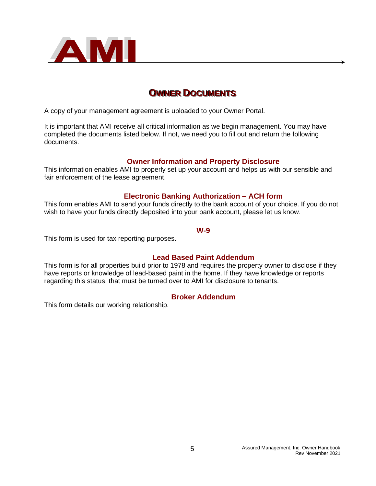

## <span id="page-4-0"></span>**OWNER DOCUMENTS**

A copy of your management agreement is uploaded to your Owner Portal.

It is important that AMI receive all critical information as we begin management. You may have completed the documents listed below. If not, we need you to fill out and return the following documents.

#### **Owner Information and Property Disclosure**

<span id="page-4-1"></span>This information enables AMI to properly set up your account and helps us with our sensible and fair enforcement of the lease agreement.

#### **Electronic Banking Authorization – ACH form**

<span id="page-4-2"></span>This form enables AMI to send your funds directly to the bank account of your choice. If you do not wish to have your funds directly deposited into your bank account, please let us know.

#### **W-9**

<span id="page-4-3"></span>This form is used for tax reporting purposes.

### **Lead Based Paint Addendum**

<span id="page-4-4"></span>This form is for all properties build prior to 1978 and requires the property owner to disclose if they have reports or knowledge of lead-based paint in the home. If they have knowledge or reports regarding this status, that must be turned over to AMI for disclosure to tenants.

#### **Broker Addendum**

<span id="page-4-5"></span>This form details our working relationship.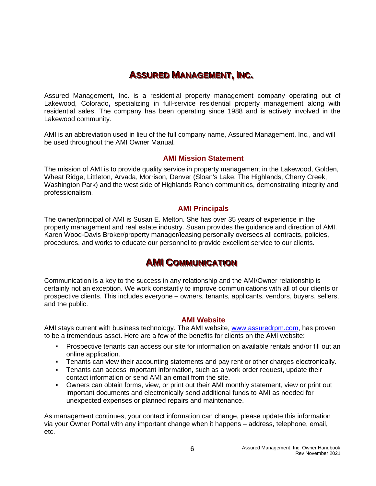# **ASSURED MANAGEMENT, INC.**

<span id="page-5-0"></span>Assured Management, Inc. is a residential property management company operating out of Lakewood, Colorado**,** specializing in full-service residential property management along with residential sales. The company has been operating since 1988 and is actively involved in the Lakewood community.

AMI is an abbreviation used in lieu of the full company name, Assured Management, Inc., and will be used throughout the AMI Owner Manual*.*

#### **AMI Mission Statement**

<span id="page-5-1"></span>The mission of AMI is to provide quality service in property management in the Lakewood, Golden, Wheat Ridge, Littleton, Arvada, Morrison, Denver (Sloan's Lake, The Highlands, Cherry Creek, Washington Park) and the west side of Highlands Ranch communities, demonstrating integrity and professionalism.

#### **AMI Principals**

<span id="page-5-2"></span>The owner/principal of AMI is Susan E. Melton. She has over 35 years of experience in the property management and real estate industry. Susan provides the guidance and direction of AMI. Karen Wood-Davis Broker/property manager/leasing personally oversees all contracts, policies, procedures, and works to educate our personnel to provide excellent service to our clients.

## **AMI COMMUNICATION**

<span id="page-5-3"></span>Communication is a key to the success in any relationship and the AMI/Owner relationship is certainly not an exception. We work constantly to improve communications with all of our clients or prospective clients. This includes everyone – owners, tenants, applicants, vendors, buyers, sellers, and the public.

#### **AMI Website**

<span id="page-5-4"></span>AMI stays current with business technology. The AMI website, [www.assuredrpm.com,](http://www.assuredrpm.com/) has proven to be a tremendous asset. Here are a few of the benefits for clients on the AMI website:

- Prospective tenants can access our site for information on available rentals and/or fill out an online application.
- **EXECT** Tenants can view their accounting statements and pay rent or other charges electronically.
- **EXECT** Tenants can access important information, such as a work order request, update their contact information or send AMI an email from the site.
- Owners can obtain forms, view, or print out their AMI monthly statement, view or print out important documents and electronically send additional funds to AMI as needed for unexpected expenses or planned repairs and maintenance.

As management continues, your contact information can change, please update this information via your Owner Portal with any important change when it happens – address, telephone, email, etc.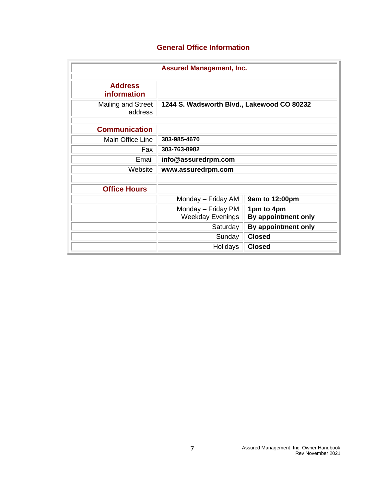## **General Office Information**

<span id="page-6-3"></span><span id="page-6-2"></span><span id="page-6-1"></span><span id="page-6-0"></span>

| <b>Assured Management, Inc.</b>      |                                               |                                   |  |  |
|--------------------------------------|-----------------------------------------------|-----------------------------------|--|--|
| <b>Address</b><br><b>information</b> |                                               |                                   |  |  |
| <b>Mailing and Street</b><br>address | 1244 S. Wadsworth Blvd., Lakewood CO 80232    |                                   |  |  |
| <b>Communication</b>                 |                                               |                                   |  |  |
| Main Office Line                     | 303-985-4670                                  |                                   |  |  |
| Fax                                  | 303-763-8982                                  |                                   |  |  |
| Email                                | info@assuredrpm.com                           |                                   |  |  |
| Website                              | www.assuredrpm.com                            |                                   |  |  |
| <b>Office Hours</b>                  |                                               |                                   |  |  |
|                                      | Monday - Friday AM                            | 9am to 12:00pm                    |  |  |
|                                      | Monday - Friday PM<br><b>Weekday Evenings</b> | 1pm to 4pm<br>By appointment only |  |  |
|                                      | Saturday                                      | By appointment only               |  |  |
|                                      | Sunday                                        | <b>Closed</b>                     |  |  |
|                                      | Holidays                                      | <b>Closed</b>                     |  |  |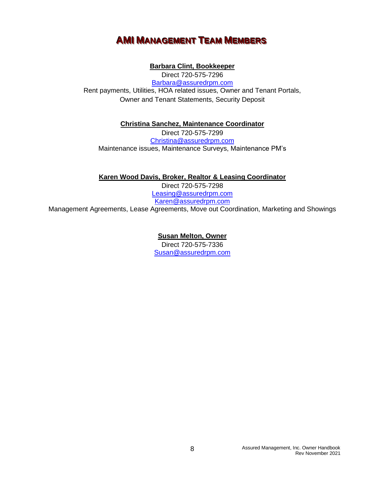## **AMI MANAGEMENT TEAM MEMBERS**

### **Barbara Clint, Bookkeeper**

<span id="page-7-0"></span>Direct 720-575-7296 [Barbara@assuredrpm.com](mailto:Barbara@assuredrpm.com) Rent payments, Utilities, HOA related issues, Owner and Tenant Portals, Owner and Tenant Statements, Security Deposit

**Christina Sanchez, Maintenance Coordinator**

Direct 720-575-7299 [Christina@assuredrpm.com](mailto:Christina@assuredrpm.com) Maintenance issues, Maintenance Surveys, Maintenance PM's

**Karen Wood Davis, Broker, Realtor & Leasing Coordinator**

Direct 720-575-7298 [Leasing@assuredrpm.com](mailto:Leasing@assuredrpm.com) Karen@assuredrpm.com Management Agreements, Lease Agreements, Move out Coordination, Marketing and Showings

> **Susan Melton, Owner** Direct 720-575-7336 [Susan@assuredrpm.com](mailto:Susan@assuredrpm.com)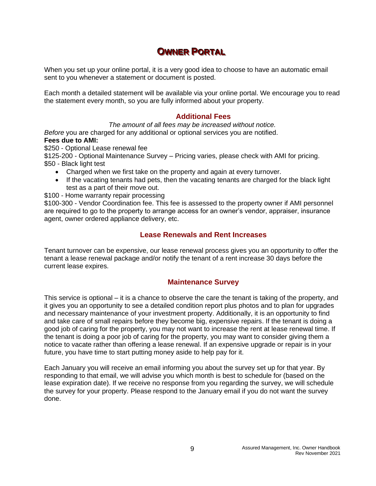# **OWNER PORTAL**

<span id="page-8-0"></span>When you set up your online portal, it is a very good idea to choose to have an automatic email sent to you whenever a statement or document is posted.

Each month a detailed statement will be available via your online portal. We encourage you to read the statement every month, so you are fully informed about your property.

#### **Additional Fees**

<span id="page-8-1"></span>*The amount of all fees may be increased without notice. Before* you are charged for any additional or optional services you are notified. **Fees due to AMI:** 

\$250 - Optional Lease renewal fee

\$125-200 - Optional Maintenance Survey – Pricing varies, please check with AMI for pricing. \$50 - Black light test

- Charged when we first take on the property and again at every turnover.
- If the vacating tenants had pets, then the vacating tenants are charged for the black light test as a part of their move out.

\$100 - Home warranty repair processing

\$100-300 - Vendor Coordination fee. This fee is assessed to the property owner if AMI personnel are required to go to the property to arrange access for an owner's vendor, appraiser, insurance agent, owner ordered appliance delivery, etc.

#### **Lease Renewals and Rent Increases**

<span id="page-8-2"></span>Tenant turnover can be expensive, our lease renewal process gives you an opportunity to offer the tenant a lease renewal package and/or notify the tenant of a rent increase 30 days before the current lease expires.

#### **Maintenance Survey**

<span id="page-8-3"></span>This service is optional – it is a chance to observe the care the tenant is taking of the property, and it gives you an opportunity to see a detailed condition report plus photos and to plan for upgrades and necessary maintenance of your investment property. Additionally, it is an opportunity to find and take care of small repairs before they become big, expensive repairs. If the tenant is doing a good job of caring for the property, you may not want to increase the rent at lease renewal time. If the tenant is doing a poor job of caring for the property, you may want to consider giving them a notice to vacate rather than offering a lease renewal. If an expensive upgrade or repair is in your future, you have time to start putting money aside to help pay for it.

Each January you will receive an email informing you about the survey set up for that year. By responding to that email, we will advise you which month is best to schedule for (based on the lease expiration date). If we receive no response from you regarding the survey, we will schedule the survey for your property. Please respond to the January email if you do not want the survey done.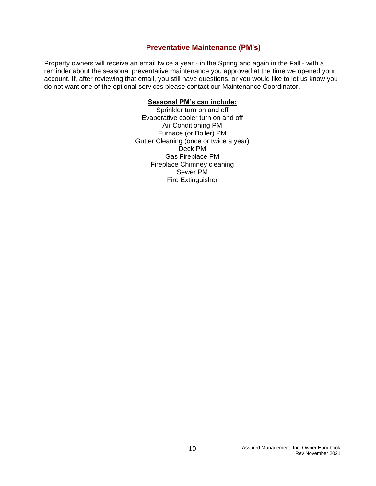### **Preventative Maintenance (PM's)**

<span id="page-9-0"></span>Property owners will receive an email twice a year - in the Spring and again in the Fall - with a reminder about the seasonal preventative maintenance you approved at the time we opened your account. If, after reviewing that email, you still have questions, or you would like to let us know you do not want one of the optional services please contact our Maintenance Coordinator.

#### **Seasonal PM's can include:**

Sprinkler turn on and off Evaporative cooler turn on and off Air Conditioning PM Furnace (or Boiler) PM Gutter Cleaning (once or twice a year) Deck PM Gas Fireplace PM Fireplace Chimney cleaning Sewer PM Fire Extinguisher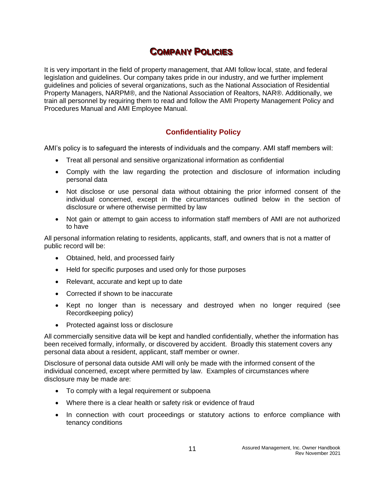# $$

<span id="page-10-0"></span>It is very important in the field of property management, that AMI follow local, state, and federal legislation and guidelines. Our company takes pride in our industry, and we further implement guidelines and policies of several organizations, such as the National Association of Residential Property Managers, NARPM®, and the National Association of Realtors, NAR®. Additionally, we train all personnel by requiring them to read and follow the AMI Property Management Policy and Procedures Manual and AMI Employee Manual.

## **Confidentiality Policy**

<span id="page-10-1"></span>AMI's policy is to safeguard the interests of individuals and the company. AMI staff members will:

- Treat all personal and sensitive organizational information as confidential
- Comply with the law regarding the protection and disclosure of information including personal data
- Not disclose or use personal data without obtaining the prior informed consent of the individual concerned, except in the circumstances outlined below in the section of disclosure or where otherwise permitted by law
- Not gain or attempt to gain access to information staff members of AMI are not authorized to have

All personal information relating to residents, applicants, staff, and owners that is not a matter of public record will be:

- Obtained, held, and processed fairly
- Held for specific purposes and used only for those purposes
- Relevant, accurate and kept up to date
- Corrected if shown to be inaccurate
- Kept no longer than is necessary and destroyed when no longer required (see Recordkeeping policy)
- Protected against loss or disclosure

All commercially sensitive data will be kept and handled confidentially, whether the information has been received formally, informally, or discovered by accident. Broadly this statement covers any personal data about a resident, applicant, staff member or owner.

Disclosure of personal data outside AMI will only be made with the informed consent of the individual concerned, except where permitted by law. Examples of circumstances where disclosure may be made are:

- To comply with a legal requirement or subpoena
- Where there is a clear health or safety risk or evidence of fraud
- In connection with court proceedings or statutory actions to enforce compliance with tenancy conditions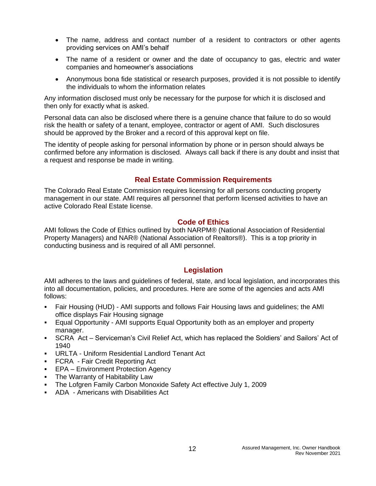- The name, address and contact number of a resident to contractors or other agents providing services on AMI's behalf
- The name of a resident or owner and the date of occupancy to gas, electric and water companies and homeowner's associations
- Anonymous bona fide statistical or research purposes, provided it is not possible to identify the individuals to whom the information relates

Any information disclosed must only be necessary for the purpose for which it is disclosed and then only for exactly what is asked.

Personal data can also be disclosed where there is a genuine chance that failure to do so would risk the health or safety of a tenant, employee, contractor or agent of AMI. Such disclosures should be approved by the Broker and a record of this approval kept on file.

The identity of people asking for personal information by phone or in person should always be confirmed before any information is disclosed. Always call back if there is any doubt and insist that a request and response be made in writing.

## **Real Estate Commission Requirements**

<span id="page-11-0"></span>The Colorado Real Estate Commission requires licensing for all persons conducting property management in our state. AMI requires all personnel that perform licensed activities to have an active Colorado Real Estate license.

#### **Code of Ethics**

<span id="page-11-1"></span>AMI follows the Code of Ethics outlined by both NARPM® (National Association of Residential Property Managers) and NAR® (National Association of Realtors®). This is a top priority in conducting business and is required of all AMI personnel.

### **Legislation**

<span id="page-11-2"></span>AMI adheres to the laws and guidelines of federal, state, and local legislation, and incorporates this into all documentation, policies, and procedures. Here are some of the agencies and acts AMI follows:

- Fair Housing (HUD) AMI supports and follows Fair Housing laws and guidelines; the AMI office displays Fair Housing signage
- Equal Opportunity AMI supports Equal Opportunity both as an employer and property manager.
- **EXEXEL Act Serviceman's Civil Relief Act, which has replaced the Soldiers' and Sailors' Act of** 1940
- URLTA Uniform Residential Landlord Tenant Act
- **FCRA Fair Credit Reporting Act**
- **EPA Environment Protection Agency**
- **The Warranty of Habitability Law**
- The Lofgren Family Carbon Monoxide Safety Act effective July 1, 2009
- ADA Americans with Disabilities Act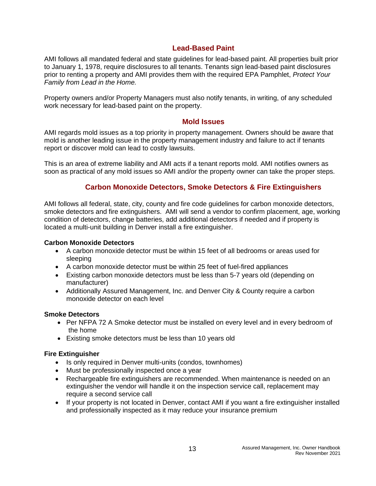## **Lead-Based Paint**

<span id="page-12-0"></span>AMI follows all mandated federal and state guidelines for lead-based paint. All properties built prior to January 1, 1978, require disclosures to all tenants. Tenants sign lead-based paint disclosures prior to renting a property and AMI provides them with the required EPA Pamphlet, *Protect Your Family from Lead in the Home.*

Property owners and/or Property Managers must also notify tenants, in writing, of any scheduled work necessary for lead-based paint on the property.

#### **Mold Issues**

<span id="page-12-1"></span>AMI regards mold issues as a top priority in property management. Owners should be aware that mold is another leading issue in the property management industry and failure to act if tenants report or discover mold can lead to costly lawsuits.

This is an area of extreme liability and AMI acts if a tenant reports mold. AMI notifies owners as soon as practical of any mold issues so AMI and/or the property owner can take the proper steps.

## **Carbon Monoxide Detectors, Smoke Detectors & Fire Extinguishers**

<span id="page-12-2"></span>AMI follows all federal, state, city, county and fire code guidelines for carbon monoxide detectors, smoke detectors and fire extinguishers. AMI will send a vendor to confirm placement, age, working condition of detectors, change batteries, add additional detectors if needed and if property is located a multi-unit building in Denver install a fire extinguisher.

#### **Carbon Monoxide Detectors**

- A carbon monoxide detector must be within 15 feet of all bedrooms or areas used for sleeping
- A carbon monoxide detector must be within 25 feet of fuel-fired appliances
- Existing carbon monoxide detectors must be less than 5-7 years old (depending on manufacturer)
- Additionally Assured Management, Inc. and Denver City & County require a carbon monoxide detector on each level

#### **Smoke Detectors**

- Per NFPA 72 A Smoke detector must be installed on every level and in every bedroom of the home
- Existing smoke detectors must be less than 10 years old

#### **Fire Extinguisher**

- Is only required in Denver multi-units (condos, townhomes)
- Must be professionally inspected once a year
- Rechargeable fire extinguishers are recommended. When maintenance is needed on an extinguisher the vendor will handle it on the inspection service call, replacement may require a second service call
- If your property is not located in Denver, contact AMI if you want a fire extinguisher installed and professionally inspected as it may reduce your insurance premium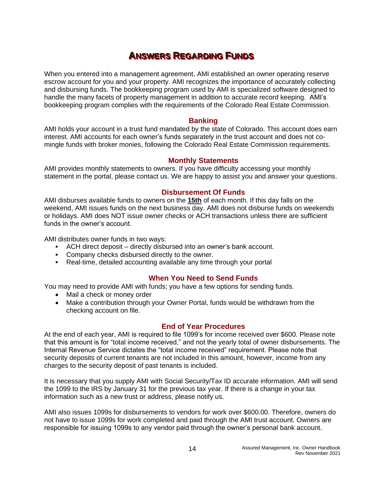# **A**NSWERS REGARDING FUNDS

<span id="page-13-0"></span>When you entered into a management agreement, AMI established an owner operating reserve escrow account for you and your property. AMI recognizes the importance of accurately collecting and disbursing funds. The bookkeeping program used by AMI is specialized software designed to handle the many facets of property management in addition to accurate record keeping. AMI's bookkeeping program complies with the requirements of the Colorado Real Estate Commission.

#### **Banking**

<span id="page-13-1"></span>AMI holds your account in a trust fund mandated by the state of Colorado. This account does earn interest. AMI accounts for each owner's funds separately in the trust account and does not comingle funds with broker monies, following the Colorado Real Estate Commission requirements.

#### **Monthly Statements**

<span id="page-13-2"></span>AMI provides monthly statements to owners. If you have difficulty accessing your monthly statement in the portal, please contact us. We are happy to assist you and answer your questions.

#### **Disbursement Of Funds**

<span id="page-13-3"></span>AMI disburses available funds to owners on the **15th** of each month. If this day falls on the weekend, AMI issues funds on the next business day. AMI does not disburse funds on weekends or holidays. AMI does NOT issue owner checks or ACH transactions unless there are sufficient funds in the owner's account.

AMI distributes owner funds in two ways:

- ACH direct deposit directly disbursed into an owner's bank account.
- Company checks disbursed directly to the owner.
- Real-time, detailed accounting available any time through your portal

#### **When You Need to Send Funds**

<span id="page-13-4"></span>You may need to provide AMI with funds; you have a few options for sending funds.

- Mail a check or money order
- Make a contribution through your Owner Portal, funds would be withdrawn from the checking account on file.

#### **End of Year Procedures**

<span id="page-13-5"></span>At the end of each year, AMI is required to file 1099's for income received over \$600. Please note that this amount is for "total income received," and not the yearly total of owner disbursements. The Internal Revenue Service dictates the "total income received" requirement. Please note that security deposits of current tenants are not included in this amount, however, income from any charges to the security deposit of past tenants is included.

It is necessary that you supply AMI with Social Security/Tax ID accurate information. AMI will send the 1099 to the IRS by January 31 for the previous tax year. If there is a change in your tax information such as a new trust or address, please notify us.

AMI also issues 1099s for disbursements to vendors for work over \$600.00. Therefore, owners do not have to issue 1099s for work completed and paid through the AMI trust account. Owners are responsible for issuing 1099s to any vendor paid through the owner's personal bank account.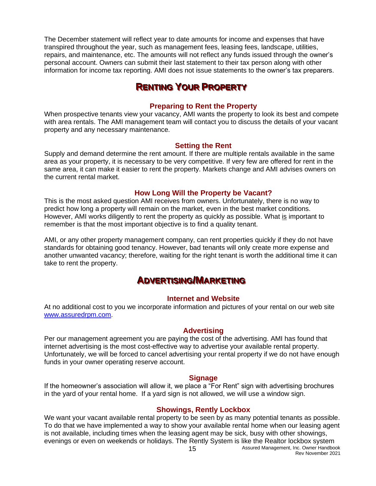The December statement will reflect year to date amounts for income and expenses that have transpired throughout the year, such as management fees, leasing fees, landscape, utilities, repairs, and maintenance, etc. The amounts will not reflect any funds issued through the owner's personal account. Owners can submit their last statement to their tax person along with other information for income tax reporting. AMI does not issue statements to the owner's tax preparers.

# **REENNTTI INNGG YOOUURR PRROOPPEERRTTYY**

### **Preparing to Rent the Property**

<span id="page-14-1"></span><span id="page-14-0"></span>When prospective tenants view your vacancy, AMI wants the property to look its best and compete with area rentals. The AMI management team will contact you to discuss the details of your vacant property and any necessary maintenance.

#### **Setting the Rent**

<span id="page-14-2"></span>Supply and demand determine the rent amount. If there are multiple rentals available in the same area as your property, it is necessary to be very competitive. If very few are offered for rent in the same area, it can make it easier to rent the property. Markets change and AMI advises owners on the current rental market.

#### **How Long Will the Property be Vacant?**

<span id="page-14-3"></span>This is the most asked question AMI receives from owners. Unfortunately, there is no way to predict how long a property will remain on the market, even in the best market conditions. However, AMI works diligently to rent the property as quickly as possible. What is important to remember is that the most important objective is to find a quality tenant.

AMI, or any other property management company, can rent properties quickly if they do not have standards for obtaining good tenancy. However, bad tenants will only create more expense and another unwanted vacancy; therefore, waiting for the right tenant is worth the additional time it can take to rent the property.

## **A**DVERTISING/MARKETING

#### **Internet and Website**

<span id="page-14-5"></span><span id="page-14-4"></span>At no additional cost to you we incorporate information and pictures of your rental on our web site [www.assuredrpm.com.](http://www.assuredrpm.com/)

#### **Advertising**

<span id="page-14-6"></span>Per our management agreement you are paying the cost of the advertising. AMI has found that internet advertising is the most cost-effective way to advertise your available rental property. Unfortunately, we will be forced to cancel advertising your rental property if we do not have enough funds in your owner operating reserve account.

#### **Signage**

<span id="page-14-7"></span>If the homeowner's association will allow it, we place a "For Rent" sign with advertising brochures in the yard of your rental home. If a yard sign is not allowed, we will use a window sign.

### **Showings, Rently Lockbox**

<span id="page-14-8"></span>We want your vacant available rental property to be seen by as many potential tenants as possible. To do that we have implemented a way to show your available rental home when our leasing agent is not available, including times when the leasing agent may be sick, busy with other showings, evenings or even on weekends or holidays. The Rently System is like the Realtor lockbox system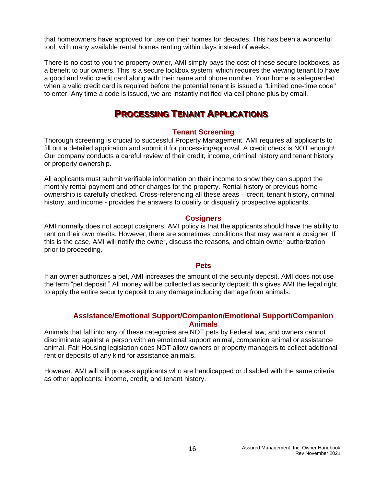that homeowners have approved for use on their homes for decades. This has been a wonderful tool, with many available rental homes renting within days instead of weeks.

There is no cost to you the property owner, AMI simply pays the cost of these secure lockboxes, as a benefit to our owners. This is a secure lockbox system, which requires the viewing tenant to have a good and valid credit card along with their name and phone number. Your home is safeguarded when a valid credit card is required before the potential tenant is issued a "Limited one-time code" to enter. Any time a code is issued, we are instantly notified via cell phone plus by email.

## **PROCESSING TENANT APPLICATIONS**

#### **Tenant Screening**

<span id="page-15-1"></span><span id="page-15-0"></span>Thorough screening is crucial to successful Property Management. AMI requires all applicants to fill out a detailed application and submit it for processing/approval. A credit check is NOT enough! Our company conducts a careful review of their credit, income, criminal history and tenant history or property ownership.

All applicants must submit verifiable information on their income to show they can support the monthly rental payment and other charges for the property. Rental history or previous home ownership is carefully checked. Cross-referencing all these areas – credit, tenant history, criminal history, and income - provides the answers to qualify or disqualify prospective applicants.

#### **Cosigners**

<span id="page-15-2"></span>AMI normally does not accept cosigners. AMI policy is that the applicants should have the ability to rent on their own merits. However, there are sometimes conditions that may warrant a cosigner. If this is the case, AMI will notify the owner, discuss the reasons, and obtain owner authorization prior to proceeding.

#### **Pets**

<span id="page-15-3"></span>If an owner authorizes a pet, AMI increases the amount of the security deposit. AMI does not use the term "pet deposit." All money will be collected as security deposit; this gives AMI the legal right to apply the entire security deposit to any damage including damage from animals.

### **Assistance/Emotional Support/Companion/Emotional Support/Companion Animals**

<span id="page-15-4"></span>Animals that fall into any of these categories are NOT pets by Federal law, and owners cannot discriminate against a person with an emotional support animal, companion animal or assistance animal. Fair Housing legislation does NOT allow owners or property managers to collect additional rent or deposits of any kind for assistance animals.

However, AMI will still process applicants who are handicapped or disabled with the same criteria as other applicants: income, credit, and tenant history.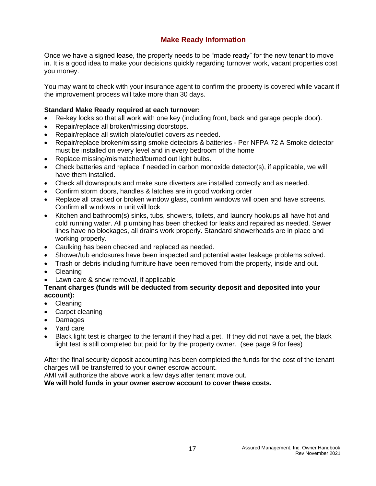## **Make Ready Information**

<span id="page-16-0"></span>Once we have a signed lease, the property needs to be "made ready" for the new tenant to move in. It is a good idea to make your decisions quickly regarding turnover work, vacant properties cost you money.

You may want to check with your insurance agent to confirm the property is covered while vacant if the improvement process will take more than 30 days.

#### **Standard Make Ready required at each turnover:**

- Re-key locks so that all work with one key (including front, back and garage people door).
- Repair/replace all broken/missing doorstops.
- Repair/replace all switch plate/outlet covers as needed.
- Repair/replace broken/missing smoke detectors & batteries Per NFPA 72 A Smoke detector must be installed on every level and in every bedroom of the home
- Replace missing/mismatched/burned out light bulbs.
- Check batteries and replace if needed in carbon monoxide detector(s), if applicable, we will have them installed.
- Check all downspouts and make sure diverters are installed correctly and as needed.
- Confirm storm doors, handles & latches are in good working order
- Replace all cracked or broken window glass, confirm windows will open and have screens. Confirm all windows in unit will lock
- Kitchen and bathroom(s) sinks, tubs, showers, toilets, and laundry hookups all have hot and cold running water. All plumbing has been checked for leaks and repaired as needed. Sewer lines have no blockages, all drains work properly. Standard showerheads are in place and working properly.
- Caulking has been checked and replaced as needed.
- Shower/tub enclosures have been inspected and potential water leakage problems solved.
- Trash or debris including furniture have been removed from the property, inside and out.
- Cleaning
- Lawn care & snow removal, if applicable

#### **Tenant charges (funds will be deducted from security deposit and deposited into your account):**

- Cleaning
- Carpet cleaning
- Damages
- Yard care
- Black light test is charged to the tenant if they had a pet. If they did not have a pet, the black light test is still completed but paid for by the property owner. (see page 9 for fees)

After the final security deposit accounting has been completed the funds for the cost of the tenant charges will be transferred to your owner escrow account.

AMI will authorize the above work a few days after tenant move out.

**We will hold funds in your owner escrow account to cover these costs.**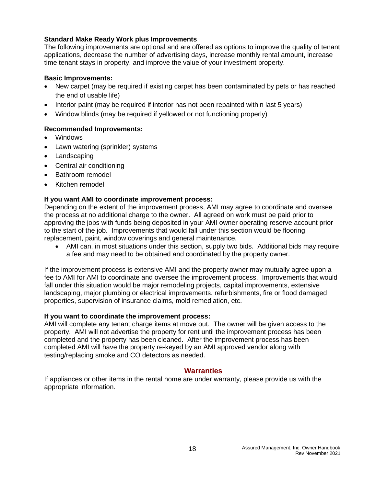#### **Standard Make Ready Work plus Improvements**

The following improvements are optional and are offered as options to improve the quality of tenant applications, decrease the number of advertising days, increase monthly rental amount, increase time tenant stays in property, and improve the value of your investment property.

#### **Basic Improvements:**

- New carpet (may be required if existing carpet has been contaminated by pets or has reached the end of usable life)
- Interior paint (may be required if interior has not been repainted within last 5 years)
- Window blinds (may be required if yellowed or not functioning properly)

#### **Recommended Improvements:**

- Windows
- Lawn watering (sprinkler) systems
- Landscaping
- Central air conditioning
- Bathroom remodel
- Kitchen remodel

#### **If you want AMI to coordinate improvement process:**

Depending on the extent of the improvement process, AMI may agree to coordinate and oversee the process at no additional charge to the owner. All agreed on work must be paid prior to approving the jobs with funds being deposited in your AMI owner operating reserve account prior to the start of the job. Improvements that would fall under this section would be flooring replacement, paint, window coverings and general maintenance.

• AMI can, in most situations under this section, supply two bids. Additional bids may require a fee and may need to be obtained and coordinated by the property owner.

If the improvement process is extensive AMI and the property owner may mutually agree upon a fee to AMI for AMI to coordinate and oversee the improvement process. Improvements that would fall under this situation would be major remodeling projects, capital improvements, extensive landscaping, major plumbing or electrical improvements. refurbishments, fire or flood damaged properties, supervision of insurance claims, mold remediation, etc.

#### **If you want to coordinate the improvement process:**

AMI will complete any tenant charge items at move out. The owner will be given access to the property. AMI will not advertise the property for rent until the improvement process has been completed and the property has been cleaned. After the improvement process has been completed AMI will have the property re-keyed by an AMI approved vendor along with testing/replacing smoke and CO detectors as needed.

### **Warranties**

<span id="page-17-0"></span>If appliances or other items in the rental home are under warranty, please provide us with the appropriate information.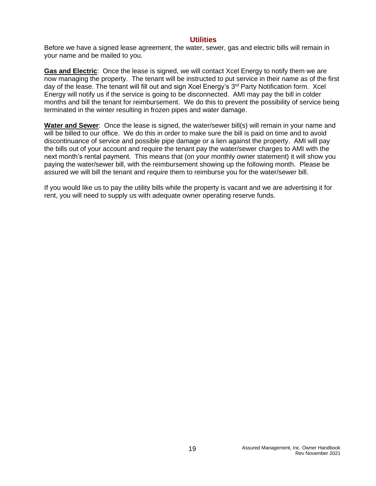#### **Utilities**

<span id="page-18-0"></span>Before we have a signed lease agreement, the water, sewer, gas and electric bills will remain in your name and be mailed to you.

**Gas and Electric**: Once the lease is signed, we will contact Xcel Energy to notify them we are now managing the property. The tenant will be instructed to put service in their name as of the first day of the lease. The tenant will fill out and sign Xcel Energy's 3<sup>rd</sup> Party Notification form. Xcel Energy will notify us if the service is going to be disconnected. AMI may pay the bill in colder months and bill the tenant for reimbursement. We do this to prevent the possibility of service being terminated in the winter resulting in frozen pipes and water damage.

**Water and Sewer**: Once the lease is signed, the water/sewer bill(s) will remain in your name and will be billed to our office. We do this in order to make sure the bill is paid on time and to avoid discontinuance of service and possible pipe damage or a lien against the property. AMI will pay the bills out of your account and require the tenant pay the water/sewer charges to AMI with the next month's rental payment. This means that (on your monthly owner statement) it will show you paying the water/sewer bill, with the reimbursement showing up the following month. Please be assured we will bill the tenant and require them to reimburse you for the water/sewer bill.

If you would like us to pay the utility bills while the property is vacant and we are advertising it for rent, you will need to supply us with adequate owner operating reserve funds.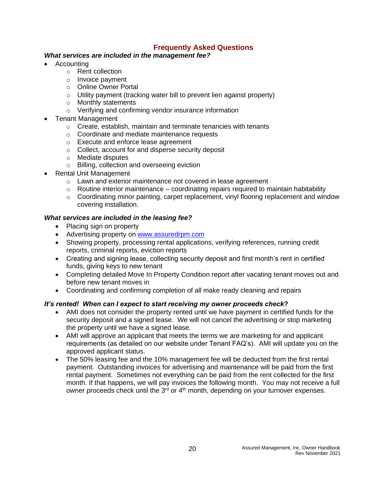## **Frequently Asked Questions**

#### <span id="page-19-0"></span>*What services are included in the management fee?*

- **Accounting** 
	- o Rent collection
	- o Invoice payment
	- o Online Owner Portal
	- o Utility payment (tracking water bill to prevent lien against property)
	- o Monthly statements
	- o Verifying and confirming vendor insurance information
- Tenant Management
	- o Create, establish, maintain and terminate tenancies with tenants
	- o Coordinate and mediate maintenance requests
	- o Execute and enforce lease agreement
	- o Collect, account for and disperse security deposit
	- o Mediate disputes
	- o Billing, collection and overseeing eviction
- Rental Unit Management
	- o Lawn and exterior maintenance not covered in lease agreement
	- $\circ$  Routine interior maintenance coordinating repairs required to maintain habitability
	- $\circ$  Coordinating minor painting, carpet replacement, vinyl flooring replacement and window covering installation.

#### *What services are included in the leasing fee?*

- Placing sign on property
- Advertising property on [www.assuredrpm.com](http://www.assuredrpm.com/)
- Showing property, processing rental applications, verifying references, running credit reports, criminal reports, eviction reports
- Creating and signing lease, collecting security deposit and first month's rent in certified funds, giving keys to new tenant
- Completing detailed Move In Property Condition report after vacating tenant moves out and before new tenant moves in
- Coordinating and confirming completion of all make ready cleaning and repairs

#### *It's rented! When can I expect to start receiving my owner proceeds check***?**

- AMI does not consider the property rented until we have payment in certified funds for the security deposit and a signed lease. We will not cancel the advertising or stop marketing the property until we have a signed lease.
- AMI will approve an applicant that meets the terms we are marketing for and applicant requirements (as detailed on our website under Tenant FAQ's). AMI will update you on the approved applicant status.
- The 50% leasing fee and the 10% management fee will be deducted from the first rental payment. Outstanding invoices for advertising and maintenance will be paid from the first rental payment. Sometimes not everything can be paid from the rent collected for the first month. If that happens, we will pay invoices the following month. You may not receive a full owner proceeds check until the  $3<sup>rd</sup>$  or  $4<sup>th</sup>$  month, depending on your turnover expenses.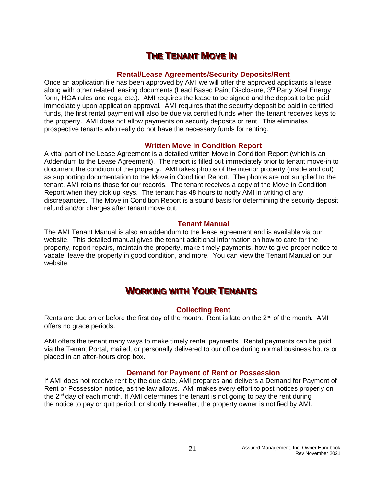## **THE TENANT MOVE IN**

#### **Rental/Lease Agreements/Security Deposits/Rent**

<span id="page-20-1"></span><span id="page-20-0"></span>Once an application file has been approved by AMI we will offer the approved applicants a lease along with other related leasing documents (Lead Based Paint Disclosure,  $3<sup>rd</sup>$  Party Xcel Energy form, HOA rules and regs, etc.). AMI requires the lease to be signed and the deposit to be paid immediately upon application approval. AMI requires that the security deposit be paid in certified funds, the first rental payment will also be due via certified funds when the tenant receives keys to the property. AMI does not allow payments on security deposits or rent. This eliminates prospective tenants who really do not have the necessary funds for renting.

#### **Written Move In Condition Report**

<span id="page-20-2"></span>A vital part of the Lease Agreement is a detailed written Move in Condition Report (which is an Addendum to the Lease Agreement). The report is filled out immediately prior to tenant move-in to document the condition of the property. AMI takes photos of the interior property (inside and out) as supporting documentation to the Move in Condition Report. The photos are not supplied to the tenant, AMI retains those for our records. The tenant receives a copy of the Move in Condition Report when they pick up keys. The tenant has 48 hours to notify AMI in writing of any discrepancies. The Move in Condition Report is a sound basis for determining the security deposit refund and/or charges after tenant move out.

#### **Tenant Manual**

<span id="page-20-3"></span>The AMI Tenant Manual is also an addendum to the lease agreement and is available via our website. This detailed manual gives the tenant additional information on how to care for the property, report repairs, maintain the property, make timely payments, how to give proper notice to vacate, leave the property in good condition, and more. You can view the Tenant Manual on our website.

# **WORKING WITH YOUR TENANTS**

#### **Collecting Rent**

<span id="page-20-5"></span><span id="page-20-4"></span>Rents are due on or before the first day of the month. Rent is late on the  $2^{nd}$  of the month. AMI offers no grace periods.

AMI offers the tenant many ways to make timely rental payments. Rental payments can be paid via the Tenant Portal, mailed, or personally delivered to our office during normal business hours or placed in an after-hours drop box.

#### **Demand for Payment of Rent or Possession**

<span id="page-20-6"></span>If AMI does not receive rent by the due date, AMI prepares and delivers a Demand for Payment of Rent or Possession notice, as the law allows. AMI makes every effort to post notices properly on the  $2<sup>nd</sup>$  day of each month. If AMI determines the tenant is not going to pay the rent during the notice to pay or quit period, or shortly thereafter, the property owner is notified by AMI.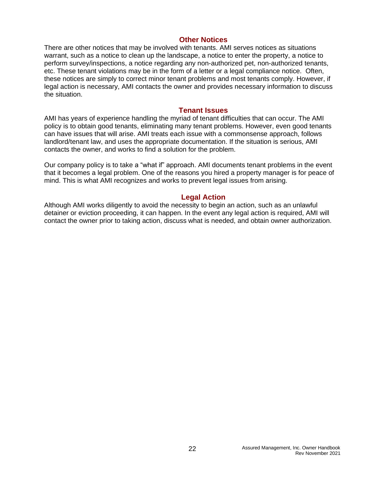#### **Other Notices**

<span id="page-21-0"></span>There are other notices that may be involved with tenants. AMI serves notices as situations warrant, such as a notice to clean up the landscape, a notice to enter the property, a notice to perform survey/inspections, a notice regarding any non-authorized pet, non-authorized tenants, etc. These tenant violations may be in the form of a letter or a legal compliance notice. Often, these notices are simply to correct minor tenant problems and most tenants comply. However, if legal action is necessary, AMI contacts the owner and provides necessary information to discuss the situation.

#### **Tenant Issues**

<span id="page-21-1"></span>AMI has years of experience handling the myriad of tenant difficulties that can occur. The AMI policy is to obtain good tenants, eliminating many tenant problems. However, even good tenants can have issues that will arise. AMI treats each issue with a commonsense approach, follows landlord/tenant law, and uses the appropriate documentation. If the situation is serious, AMI contacts the owner, and works to find a solution for the problem.

Our company policy is to take a "what if" approach. AMI documents tenant problems in the event that it becomes a legal problem. One of the reasons you hired a property manager is for peace of mind. This is what AMI recognizes and works to prevent legal issues from arising.

#### **Legal Action**

<span id="page-21-2"></span>Although AMI works diligently to avoid the necessity to begin an action, such as an unlawful detainer or eviction proceeding, it can happen. In the event any legal action is required, AMI will contact the owner prior to taking action, discuss what is needed, and obtain owner authorization.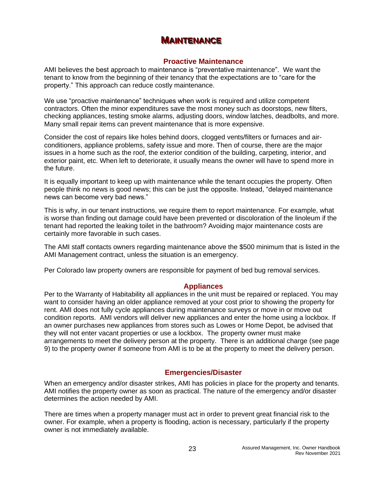## **MAINTENANCE**

#### **Proactive Maintenance**

<span id="page-22-1"></span><span id="page-22-0"></span>AMI believes the best approach to maintenance is "preventative maintenance". We want the tenant to know from the beginning of their tenancy that the expectations are to "care for the property." This approach can reduce costly maintenance.

We use "proactive maintenance" techniques when work is required and utilize competent contractors. Often the minor expenditures save the most money such as doorstops, new filters, checking appliances, testing smoke alarms, adjusting doors, window latches, deadbolts, and more. Many small repair items can prevent maintenance that is more expensive.

Consider the cost of repairs like holes behind doors, clogged vents/filters or furnaces and airconditioners, appliance problems, safety issue and more. Then of course, there are the major issues in a home such as the roof, the exterior condition of the building, carpeting, interior, and exterior paint, etc. When left to deteriorate, it usually means the owner will have to spend more in the future.

It is equally important to keep up with maintenance while the tenant occupies the property. Often people think no news is good news; this can be just the opposite. Instead, "delayed maintenance news can become very bad news."

This is why, in our tenant instructions, we require them to report maintenance. For example, what is worse than finding out damage could have been prevented or discoloration of the linoleum if the tenant had reported the leaking toilet in the bathroom? Avoiding major maintenance costs are certainly more favorable in such cases.

The AMI staff contacts owners regarding maintenance above the \$500 minimum that is listed in the AMI Management contract, unless the situation is an emergency.

Per Colorado law property owners are responsible for payment of bed bug removal services.

#### **Appliances**

<span id="page-22-2"></span>Per to the Warranty of Habitability all appliances in the unit must be repaired or replaced. You may want to consider having an older appliance removed at your cost prior to showing the property for rent. AMI does not fully cycle appliances during maintenance surveys or move in or move out condition reports. AMI vendors will deliver new appliances and enter the home using a lockbox. If an owner purchases new appliances from stores such as Lowes or Home Depot, be advised that they will not enter vacant properties or use a lockbox. The property owner must make arrangements to meet the delivery person at the property. There is an additional charge (see page 9) to the property owner if someone from AMI is to be at the property to meet the delivery person.

### **Emergencies/Disaster**

<span id="page-22-3"></span>When an emergency and/or disaster strikes, AMI has policies in place for the property and tenants. AMI notifies the property owner as soon as practical. The nature of the emergency and/or disaster determines the action needed by AMI.

There are times when a property manager must act in order to prevent great financial risk to the owner. For example, when a property is flooding, action is necessary, particularly if the property owner is not immediately available.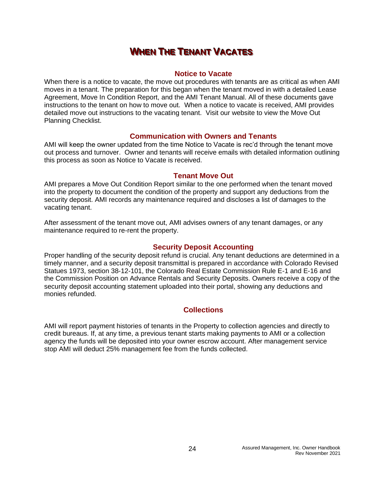## **WHEN THE TENANT VACATES**

#### **Notice to Vacate**

<span id="page-23-1"></span><span id="page-23-0"></span>When there is a notice to vacate, the move out procedures with tenants are as critical as when AMI moves in a tenant. The preparation for this began when the tenant moved in with a detailed Lease Agreement, Move In Condition Report, and the AMI Tenant Manual. All of these documents gave instructions to the tenant on how to move out. When a notice to vacate is received, AMI provides detailed move out instructions to the vacating tenant. Visit our website to view the Move Out Planning Checklist.

#### **Communication with Owners and Tenants**

<span id="page-23-2"></span>AMI will keep the owner updated from the time Notice to Vacate is rec'd through the tenant move out process and turnover. Owner and tenants will receive emails with detailed information outlining this process as soon as Notice to Vacate is received.

#### **Tenant Move Out**

<span id="page-23-3"></span>AMI prepares a Move Out Condition Report similar to the one performed when the tenant moved into the property to document the condition of the property and support any deductions from the security deposit. AMI records any maintenance required and discloses a list of damages to the vacating tenant.

After assessment of the tenant move out, AMI advises owners of any tenant damages, or any maintenance required to re-rent the property.

#### **Security Deposit Accounting**

<span id="page-23-4"></span>Proper handling of the security deposit refund is crucial. Any tenant deductions are determined in a timely manner, and a security deposit transmittal is prepared in accordance with Colorado Revised Statues 1973, section 38-12-101, the Colorado Real Estate Commission Rule E-1 and E-16 and the Commission Position on Advance Rentals and Security Deposits. Owners receive a copy of the security deposit accounting statement uploaded into their portal, showing any deductions and monies refunded.

### **Collections**

<span id="page-23-5"></span>AMI will report payment histories of tenants in the Property to collection agencies and directly to credit bureaus. If, at any time, a previous tenant starts making payments to AMI or a collection agency the funds will be deposited into your owner escrow account. After management service stop AMI will deduct 25% management fee from the funds collected.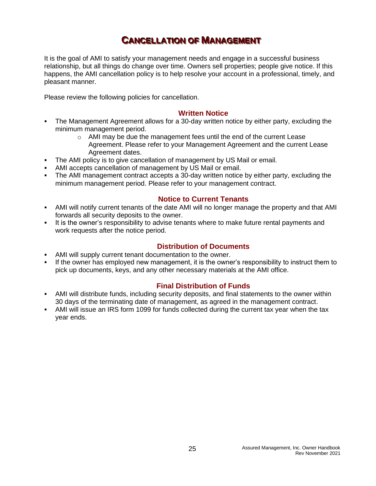# **CANCELLATION OF MANAGEMENT**

<span id="page-24-0"></span>It is the goal of AMI to satisfy your management needs and engage in a successful business relationship, but all things do change over time. Owners sell properties; people give notice. If this happens, the AMI cancellation policy is to help resolve your account in a professional, timely, and pleasant manner.

Please review the following policies for cancellation.

#### **Written Notice**

- <span id="page-24-1"></span>The Management Agreement allows for a 30-day written notice by either party, excluding the minimum management period.
	- o AMI may be due the management fees until the end of the current Lease Agreement. Please refer to your Management Agreement and the current Lease Agreement dates.
	- The AMI policy is to give cancellation of management by US Mail or email.
- AMI accepts cancellation of management by US Mail or email.
- The AMI management contract accepts a 30-day written notice by either party, excluding the minimum management period. Please refer to your management contract.

#### **Notice to Current Tenants**

- <span id="page-24-2"></span>AMI will notify current tenants of the date AMI will no longer manage the property and that AMI forwards all security deposits to the owner.
- It is the owner's responsibility to advise tenants where to make future rental payments and work requests after the notice period.

#### **Distribution of Documents**

- <span id="page-24-3"></span>AMI will supply current tenant documentation to the owner.
- If the owner has employed new management, it is the owner's responsibility to instruct them to pick up documents, keys, and any other necessary materials at the AMI office.

#### **Final Distribution of Funds**

- <span id="page-24-4"></span>**• AMI will distribute funds, including security deposits, and final statements to the owner within** 30 days of the terminating date of management, as agreed in the management contract.
- AMI will issue an IRS form 1099 for funds collected during the current tax year when the tax year ends.